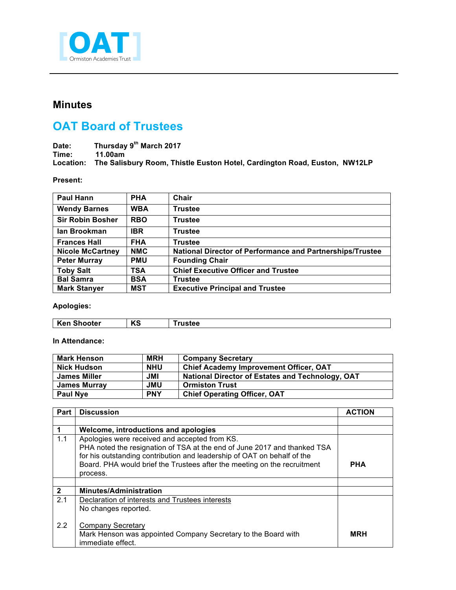

## **Minutes**

## **OAT Board of Trustees**

Date: Thursday 9<sup>th</sup> March 2017<br>Time: 11.00am **Time: 11.00am Location: The Salisbury Room, Thistle Euston Hotel, Cardington Road, Euston, NW12LP**

## **Present:**

| <b>Paul Hann</b>        | <b>PHA</b> | Chair                                                     |
|-------------------------|------------|-----------------------------------------------------------|
| <b>Wendy Barnes</b>     | <b>WBA</b> | <b>Trustee</b>                                            |
| <b>Sir Robin Bosher</b> | <b>RBO</b> | <b>Trustee</b>                                            |
| lan Brookman            | <b>IBR</b> | <b>Trustee</b>                                            |
| <b>Frances Hall</b>     | <b>FHA</b> | <b>Trustee</b>                                            |
| <b>Nicole McCartney</b> | <b>NMC</b> | National Director of Performance and Partnerships/Trustee |
| <b>Peter Murray</b>     | <b>PMU</b> | <b>Founding Chair</b>                                     |
| <b>Toby Salt</b>        | <b>TSA</b> | <b>Chief Executive Officer and Trustee</b>                |
| <b>Bal Samra</b>        | <b>BSA</b> | <b>Trustee</b>                                            |
| <b>Mark Stanyer</b>     | <b>MST</b> | <b>Executive Principal and Trustee</b>                    |

**Apologies:**

| $\overline{1}$<br>Ke<br>---<br>ooter<br><br>n J<br>-30 |  |  |
|--------------------------------------------------------|--|--|
|                                                        |  |  |

**In Attendance:**

| Mark Henson         | <b>MRH</b> | <b>Company Secretary</b>                                |
|---------------------|------------|---------------------------------------------------------|
| Nick Hudson         | <b>NHU</b> | <b>Chief Academy Improvement Officer, OAT</b>           |
| <b>James Miller</b> | <b>JML</b> | <b>National Director of Estates and Technology, OAT</b> |
| James Murray        | JMU        | <b>Ormiston Trust</b>                                   |
| <b>Paul Nye</b>     | <b>PNY</b> | <b>Chief Operating Officer, OAT</b>                     |

| Part         | <b>Discussion</b>                                                        | <b>ACTION</b> |
|--------------|--------------------------------------------------------------------------|---------------|
|              |                                                                          |               |
|              | Welcome, introductions and apologies                                     |               |
| 1.1          | Apologies were received and accepted from KS.                            |               |
|              | PHA noted the resignation of TSA at the end of June 2017 and thanked TSA |               |
|              | for his outstanding contribution and leadership of OAT on behalf of the  |               |
|              | Board. PHA would brief the Trustees after the meeting on the recruitment | <b>PHA</b>    |
|              | process.                                                                 |               |
|              |                                                                          |               |
| $\mathbf{2}$ | <b>Minutes/Administration</b>                                            |               |
| 2.1          | Declaration of interests and Trustees interests                          |               |
|              | No changes reported.                                                     |               |
|              |                                                                          |               |
| 2.2          | <b>Company Secretary</b>                                                 |               |
|              | Mark Henson was appointed Company Secretary to the Board with            | <b>MRH</b>    |
|              | immediate effect.                                                        |               |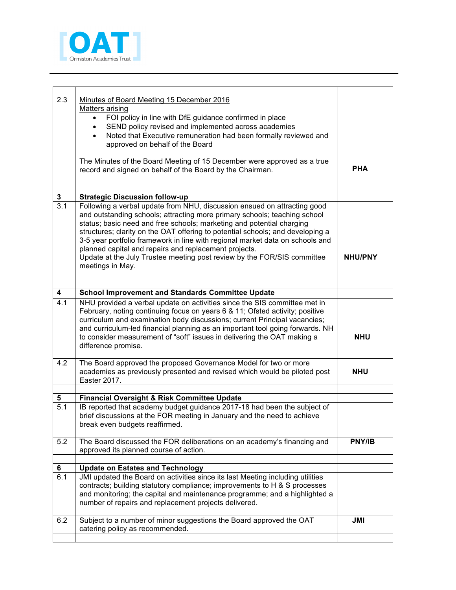

| 2.3                   | Minutes of Board Meeting 15 December 2016<br>Matters arising<br>FOI policy in line with DfE guidance confirmed in place<br>SEND policy revised and implemented across academies<br>Noted that Executive remuneration had been formally reviewed and<br>approved on behalf of the Board                                                                                                                                                                                                                                                                    |                |
|-----------------------|-----------------------------------------------------------------------------------------------------------------------------------------------------------------------------------------------------------------------------------------------------------------------------------------------------------------------------------------------------------------------------------------------------------------------------------------------------------------------------------------------------------------------------------------------------------|----------------|
|                       | The Minutes of the Board Meeting of 15 December were approved as a true<br>record and signed on behalf of the Board by the Chairman.                                                                                                                                                                                                                                                                                                                                                                                                                      | <b>PHA</b>     |
|                       |                                                                                                                                                                                                                                                                                                                                                                                                                                                                                                                                                           |                |
| $\mathbf{3}$          | <b>Strategic Discussion follow-up</b>                                                                                                                                                                                                                                                                                                                                                                                                                                                                                                                     |                |
| $\overline{3.1}$      | Following a verbal update from NHU, discussion ensued on attracting good<br>and outstanding schools; attracting more primary schools; teaching school<br>status; basic need and free schools; marketing and potential charging<br>structures; clarity on the OAT offering to potential schools; and developing a<br>3-5 year portfolio framework in line with regional market data on schools and<br>planned capital and repairs and replacement projects.<br>Update at the July Trustee meeting post review by the FOR/SIS committee<br>meetings in May. | <b>NHU/PNY</b> |
|                       |                                                                                                                                                                                                                                                                                                                                                                                                                                                                                                                                                           |                |
| 4                     | <b>School Improvement and Standards Committee Update</b>                                                                                                                                                                                                                                                                                                                                                                                                                                                                                                  |                |
| $\overline{4.1}$      | NHU provided a verbal update on activities since the SIS committee met in<br>February, noting continuing focus on years 6 & 11; Ofsted activity; positive<br>curriculum and examination body discussions; current Principal vacancies;<br>and curriculum-led financial planning as an important tool going forwards. NH<br>to consider measurement of "soft" issues in delivering the OAT making a<br>difference promise.                                                                                                                                 | <b>NHU</b>     |
| 4.2                   | The Board approved the proposed Governance Model for two or more<br>academies as previously presented and revised which would be piloted post<br>Easter 2017.                                                                                                                                                                                                                                                                                                                                                                                             | <b>NHU</b>     |
|                       |                                                                                                                                                                                                                                                                                                                                                                                                                                                                                                                                                           |                |
| 5<br>$\overline{5.1}$ | <b>Financial Oversight &amp; Risk Committee Update</b><br>IB reported that academy budget guidance 2017-18 had been the subject of                                                                                                                                                                                                                                                                                                                                                                                                                        |                |
|                       | brief discussions at the FOR meeting in January and the need to achieve<br>break even budgets reaffirmed.                                                                                                                                                                                                                                                                                                                                                                                                                                                 |                |
| 5.2                   | The Board discussed the FOR deliberations on an academy's financing and                                                                                                                                                                                                                                                                                                                                                                                                                                                                                   | PNY/IB         |
|                       | approved its planned course of action.                                                                                                                                                                                                                                                                                                                                                                                                                                                                                                                    |                |
| 6                     | <b>Update on Estates and Technology</b>                                                                                                                                                                                                                                                                                                                                                                                                                                                                                                                   |                |
| 6.1                   | JMI updated the Board on activities since its last Meeting including utilities<br>contracts; building statutory compliance; improvements to H & S processes<br>and monitoring; the capital and maintenance programme; and a highlighted a<br>number of repairs and replacement projects delivered.                                                                                                                                                                                                                                                        |                |
| 6.2                   | Subject to a number of minor suggestions the Board approved the OAT<br>catering policy as recommended.                                                                                                                                                                                                                                                                                                                                                                                                                                                    | <b>JMI</b>     |
|                       |                                                                                                                                                                                                                                                                                                                                                                                                                                                                                                                                                           |                |